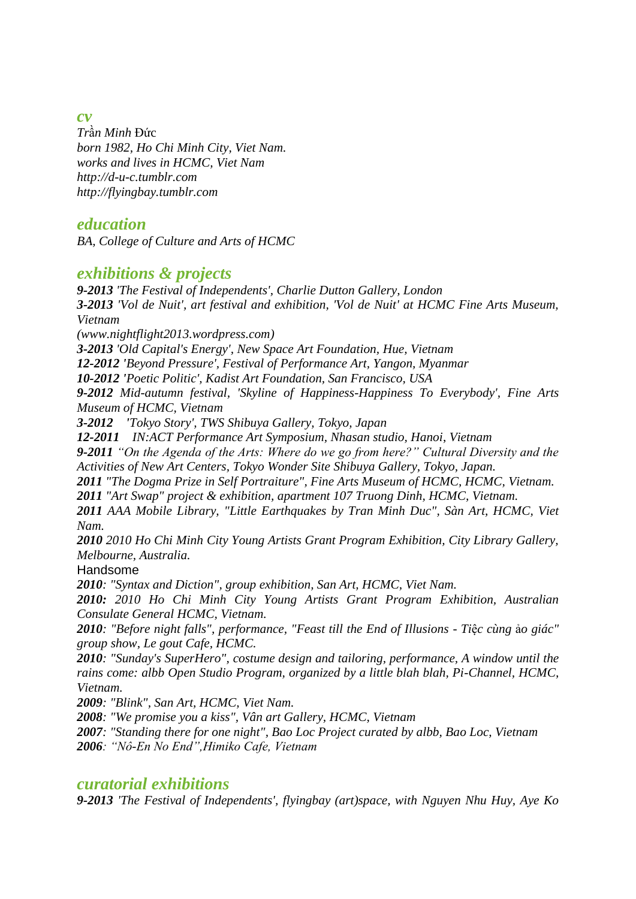*cv*

*Tr*ầ*n Minh* Đức *born 1982, Ho Chi Minh City, Viet Nam. works and lives in HCMC, Viet Nam http://d-u-c.tumblr.com http://flyingbay.tumblr.com*

### *education*

*BA, College of Culture and Arts of HCMC*

# *exhibitions & projects*

*9-2013 'The Festival of Independents', Charlie Dutton Gallery, London 3-2013 'Vol de Nuit', art festival and exhibition, 'Vol de Nuit' at HCMC Fine Arts Museum, Vietnam* 

*(www.nightflight2013.wordpress.com)*

*3-2013 'Old Capital's Energy', New Space Art Foundation, Hue, Vietnam*

*12-2012 'Beyond Pressure', Festival of Performance Art, Yangon, Myanmar*

*10-2012 'Poetic Politic', Kadist Art Foundation, San Francisco, USA*

*9-2012 Mid-autumn festival, 'Skyline of Happiness-Happiness To Everybody', Fine Arts Museum of HCMC, Vietnam*

*3-2012 'Tokyo Story', TWS Shibuya Gallery, Tokyo, Japan*

*12-2011 IN:ACT Performance Art Symposium, Nhasan studio, Hanoi*, *Vietnam*

*9-2011 "On the Agenda of the Arts: Where do we go from here?" Cultural Diversity and the Activities of New Art Centers, Tokyo Wonder Site Shibuya Gallery, Tokyo, Japan.*

*2011 "The Dogma Prize in Self Portraiture", Fine Arts Museum of HCMC, HCMC, Vietnam.*

*2011 "Art Swap" project & exhibition, apartment 107 Truong Dinh, HCMC, Vietnam.*

*2011 AAA Mobile Library, "Little Earthquakes by Tran Minh Duc", Sàn Art, HCMC, Viet Nam.*

*2010 2010 Ho Chi Minh City Young Artists Grant Program Exhibition, City Library Gallery, Melbourne, Australia.*

Handsome

*2010: "Syntax and Diction", group exhibition, San Art, HCMC, Viet Nam.*

*2010: 2010 Ho Chi Minh City Young Artists Grant Program Exhibition, Australian Consulate General HCMC, Vietnam.*

*2010: "Before night falls", performance, "Feast till the End of Illusions - Ti*ệ*c cùng* ả*o giác" group show, Le gout Cafe, HCMC.*

*2010: "Sunday's SuperHero", costume design and tailoring, performance, A window until the rains come: albb Open Studio Program, organized by a little blah blah, Pi-Channel, HCMC, Vietnam.*

*2009: "Blink", San Art, HCMC, Viet Nam.*

*2008: "We promise you a kiss", Vân art Gallery, HCMC, Vietnam*

*2007: "Standing there for one night", Bao Loc Project curated by albb, Bao Loc, Vietnam 2006: "Nô-En No End",Himiko Cafe, Vietnam*

## *curatorial exhibitions*

*9-2013 'The Festival of Independents', flyingbay (art)space, with Nguyen Nhu Huy, Aye Ko*